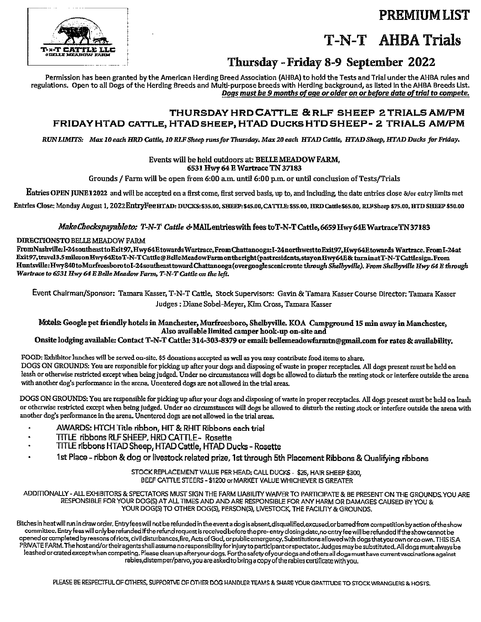**PREMIUM LIST** 

# **T-N-T** AHBA Trials

### Thursday - Friday 8-9 September 2022

Permission has been granted by the American Herding Breed Association (AHBA) to hold the Tests and Trial under the AHBA rules and regulations. Open to all Dogs of the Herding Breeds and Multi-purpose breeds with Herding background, as listed in the AHBA Breeds List. Dogs must be 9 months of age or older on or before date of trial to compete.

### THURSDAY HRD CATTLE & RLF SHEEP 2 TRIALS AM/PM FRIDAY HTAD CATTLE, HTAD SHEEP, HTAD DUCKS HTD SHEEP - 2 TRIALS AM/PM

RUN LIMITS: Max 10 each HRD Cattle, 10 RLF Sheep runs for Thursday, Max 20 each HTAD Cattle, HTAD Sheep, HTAD Ducks for Friday,

#### Events will be held outdoors at: BELLE MEADOW FARM, 6531 Hwy 64 E Wartrace TN 37183

Grounds / Farm will be open from 6:00 a.m. until 6:00 p.m. or until conclusion of Tests/Trials

Entries OPEN JUNE 12022 and will be accepted on a first come, first served basis, up to, and including, the date entries close &/or entry limits met

Entries Close: Monday August 1, 2022 EntryFeeHTAD: DUCKS: \$35.00, SHEEP: \$45.00, CATTLE: \$55.00, HRD Cattle \$65.00, RLFSheep \$75.00, HTD SHEEP \$50.00

#### MakeCheckspayableto: T-N-T Cattle & MAIL entries with fees to T-N-T Cattle, 6659 Hwy 64E Wartrace TN 37183

#### DIRECTIONSTO BELLE MEADOW FARM

FromNashville:I-24southeasttoExit97,Hwy64EtowardsWartrace,FromChattanooga:I-24northwesttoExit97,Hwy64EtowardsWartrace.FromI-24at Exit97,travel3.5milesonHwy64EtoT-N-TCattle@BelleMeadowFarmontheright(pastresidents,stayonHwy64E&turninatT-N-TCattlesign.From Huntsville:Hwy840toMurfreesborotoI-24southeast toward Chattanooga (overgooglescenic route through Shelbyville). From Shelbyville Hwy 64 E through Wartrace to 6531 Hwy 64 E Belle Meadow Farm, T-N-T Cattle on the left.

Event Chairman/Sponsor: Tamara Kasser, T-N-T Cattle, Stock Supervisors: Gavin & Tamara Kasser Course Director: Tamara Kasser Judges : Diane Sobel-Meyer, Kim Cross, Tamara Kasser

Motels: Google pet friendly hotels in Manchester, Murfreesboro, Shelbyville. KOA Campground 15 min away in Manchester, Also available limited camper hook-up on-site and

### Onsite lodging available: Contact T-N-T Cattle: 314-303-8379 or email: bellemeadowfarmtn@gmail.com for rates & availability.

FOOD: Exhibitor lunches will be served on-site. \$5 donations accepted as well as you may contribute food items to share. DOGS ON GROUNDS: You are responsible for picking up after your dogs and disposing of waste in proper receptacles. All dogs present must be held on leash or otherwise restricted except when being judged. Under no circumstances will dogs be allowed to disturb the resting stock or interfere outside the arena with another dog's performance in the arena. Unentered dogs are not allowed in the trial areas.

DOGS ON GROUNDS: You are responsible for picking up after your dogs and disposing of waste in proper receptacles. All dogs present must be held on leash or otherwise restricted except when being judged. Under no circumstances will dogs be allowed to disturb the resting stock or interfere outside the arena with another dog's performance in the arena. Unentered dogs are not allowed in the trial areas.

- AWARDS: HTCH Title ribbon, HIT & RHIT Ribbons each trial
- TITLE ribbons RLF SHEEP, HRD CATTLE- Rosette
- TITLE ribbons HTAD Sheep, HTAD Cattle, HTAD Ducks Rosette
- 1st Place ribbon & dog or livestock related prize, 1st through 5th Placement Ribbons & Qualifying ribbons

STOCK REPLACEMENT VALUE PER HEAD: CALL DUCKS - \$25, HAIR SHEEP \$300, BEEF CATTLE STEERS - \$1200 or MARKET VALUE WHICHEVER IS GREATER

ADDITIONALLY - ALL EXHIBITORS & SPECTATORS MUST SIGN THE FARM LIABILITY WAIVER TO PARTICIPATE & BE PRESENT ON THE GROUNDS YOU ARE RESPONSIBLE FOR YOUR DOG(S) AT ALL TIMES AND AND ARE RESPONSIBLE FOR ANY HARM OR DAMAGES CAUSED BY YOU & YOUR DOG(5) TO OTHER DOG(5), PERSON(5), LIVESTOCK, THE FACILITY & GROUNDS.

Bitches in heat will run in draw order. Entry fees will not be refunded in the event a dog is absent, disqualified, excused, or barred from competition by action of the show committee. Entry fees will only be refunded if the refund request is received before the pre-entry closing date, no entry fee will be refunded if the show cannot be opened or completed by reasons of riots, civil disturbances, fire, Acts of God, or public emergency. Substitutions allowed with dogs that you own or co own. THIS ISA PRIVATE FARM. The host and/or their agents shall assume no responsibility for injury to participant or spectator. Judges may be substituted. All dogs must always be leashed or crated except when competing. Please clean up after your dogs. For the safety of your dogs and others all dogs must have current vaccinations against rabies, distemper/parvo, you are asked to bring a copy of the rabies certificate with you.

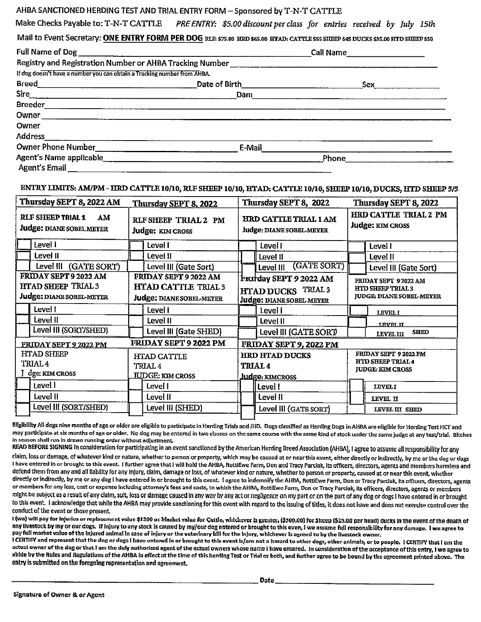#### AHBA SANCTIONED HERDING TEST AND TRIAL ENTRY FORM - Sponsored by T-N-T CATTLE

Make Checks Payable to: T-N-T CAT1LE *PRE ENTRY: \$5.00 discount per class for entries received by July 15th* 

Mail to Event Secretary: ONE ENTRY FORM PER DOG RLF, \$75.00 HRD \$65.00 HTAD; CATTLE \$55 SHEEP \$45 DUCKS \$35.00 RTD SHEEP \$50

|                                                                           | Full Name of Dog                                                                                                                                                                                                                     | Call Name_________________ |
|---------------------------------------------------------------------------|--------------------------------------------------------------------------------------------------------------------------------------------------------------------------------------------------------------------------------------|----------------------------|
|                                                                           |                                                                                                                                                                                                                                      |                            |
| If dog doesn't have a number you can obtain a Tracking number from AHBA.  |                                                                                                                                                                                                                                      |                            |
| <b>Breed</b><br><u> 1989 - Johann Barbara, martin amerikan personal (</u> | <b>Date of Birth Electronic Contract Contract Contract Contract Contract Contract Contract Contract Contract Contract Contract Contract Contract Contract Contract Contract Contract Contract Contract Contract Contract Contrac</b> | Sex                        |
|                                                                           | Dam                                                                                                                                                                                                                                  |                            |
|                                                                           |                                                                                                                                                                                                                                      |                            |
|                                                                           |                                                                                                                                                                                                                                      |                            |
| Owner                                                                     |                                                                                                                                                                                                                                      |                            |
| Address                                                                   |                                                                                                                                                                                                                                      |                            |
| Owner Phone Number                                                        | E-Mail                                                                                                                                                                                                                               |                            |
| Agent's Name applicable______________                                     |                                                                                                                                                                                                                                      | Phone                      |
| <b>Agent's Email</b>                                                      |                                                                                                                                                                                                                                      |                            |

#### ENTRY LIMITS: **AM/PM** - HRD CATTLE **10/10,** RLF SHEEP 10/10, HTAD: CA'ITLE **10/10,** SHEEP **10/10,** DUCKS, HTD SHEEP 5/5

| Thursday SEPT 8, 2022 AM                                                               | Thursday SEPT 8, 2022                                                                  | Thursday SEPT 8, 2022                                                    | Thursday SEPT 8, 2022                                                              |  |
|----------------------------------------------------------------------------------------|----------------------------------------------------------------------------------------|--------------------------------------------------------------------------|------------------------------------------------------------------------------------|--|
| <b>RLF SHEEP TRIAL 1</b><br>AM<br><b>Judge: DIANE SOBEL MEYER</b>                      | RLF SHEEP TRIAL 2 PM<br>Judge: KIM CROSS                                               | HRD CATTLE TRIAL 1 AM<br>ludge: DIANE SOBEL-MEYER                        | <b>HRD CATTLE TRIAL 2 PM</b><br><b>Judge: KIM CROSS</b>                            |  |
| l evel I                                                                               | Level I                                                                                | Level I                                                                  | Level I                                                                            |  |
| Level II                                                                               | Level II                                                                               | Level II                                                                 | Level II                                                                           |  |
| Level III (GATE SORT)                                                                  | Level III (Gate Sort)                                                                  | (GATE SORT)<br>Level III                                                 | Level III (Gate Sort)                                                              |  |
| FRIDAY SEPT 9 2022 AM<br><b>HTAD SHEEP TRIAL 3</b><br>Judge: DIANE SOBEL-MEYER         | FRIDAY SEPT 9 2022 AM<br><b>HTAD CATTLE TRIAL 3</b><br><b>Judge: DIANE SOBEL-MEYER</b> | Franday SEPT 9 2022 AM<br>HTAD DUCKS TRIAL 3<br>Judge: DIANE SOBEL-MEYER | FRIDAY SEPT 92022 AM<br><b>HTD SHEEP TRIAL 3</b><br><b>JUDGE DIANE SOBEL MEYER</b> |  |
| Level I                                                                                | Level I                                                                                | Level I                                                                  | <b>LEVEL I</b>                                                                     |  |
| Level II                                                                               | Level II                                                                               | Level II                                                                 | <b>LEVEL II</b>                                                                    |  |
| Level III (SORT/SHED)                                                                  | Level III (Gate SHED)                                                                  | Level III (GATE SORT)                                                    | <b>SHED</b><br><b>LEVEL III</b>                                                    |  |
| <b>FRIDAY SEPT 9 2022 PM</b><br>FRIDAY SEPT 9, 2022 PM<br><b>FRIDAY SEPT 9 2022 PM</b> |                                                                                        |                                                                          |                                                                                    |  |
| <b>HTAD SHEEP</b><br><b>TRIAL 4</b><br>dge: KIM CROSS                                  | HTAD CATTLE<br>TRIAL 4<br><b>IUDGE: KIM CROSS</b>                                      | <b>HRD HTAD DUCKS</b><br><b>TRIAL4</b><br><b>Judge: KIMCROSS</b>         | FRIDAY SEPT 9 2022 PM<br><b>HID SHEEP TRIAL 4</b><br><b>JUDGE: KIM CROSS</b>       |  |
| Level l                                                                                | Level I                                                                                | Level I                                                                  | <b>LEVELI</b>                                                                      |  |
| Level II                                                                               | Level II                                                                               | Level II                                                                 | LEVEL II                                                                           |  |
| Level III (SORT/SHED)                                                                  | Level III (SHED)                                                                       | Level III (GATE SORT)                                                    | LEVEL III SHED                                                                     |  |

Eligibility All dogs nine months of age or older are eligible to participate in Herding Trials and JHD. Dogs classified as Herding Dogs in AHBA are eligible for Herding Test HCT and may participate at six months of age or older. No dog may be entered in two classes on the same course with the same kind of stock under the same judge at any test/trial. Bitches in season shall run in drawn running order without adjustment.

READ BEFORE SIGNING In consideration for participating in an event sanctioned by the American Herding Breed Association {AHBA), I agree to assume all responsibility for any

claim, loss or damage, of whatever kind or nature, whether to person or property, which may be caused at or near this event, either directly or indirectly, by me or the dog or dogs I have entered in or brought to this event. I further agree that I will hold the AHBA, RottiEwe Farm, Don and Tracy Parciak, its officers, directors, agents and members harmless and defend them from any and all llabiltty for any Injury, claim, damage or loss, of whatever kind or nature, whether to person or property, caused at or near this event, whether directly or indirectly, by me or any dog I have entered in or brought to this event. I agree to indemnify the AHBA, RottiEwe Farm, Don or Tracy Parciak, Its officers, directors, agents or members for any loss, cost or expense including attorney's fees and costs, to which the AHBA, RottiEwe Farm, Don or Tracy Parciak, its officers, directors, agents or members might be subject as a result of any claim, suit, loss or damage caused in any way by any act or negligence on my part or on the part of any dog or dogs I have entered in or brought to this event. I acknowledge that while the AHBA may provide sanctioning for this event with regard to the issuing of titles, it does not have and does not exercise control over the conduct of the event or those present

I (we) will pay for injuries or replacement value \$1200 or Market yalue for Cattle, whichever is greater, (\$300,00) for Sheep (\$25.00 per head) ducks in the event of the death of any Ilvestock by my or our dogs. If injury to any stock is caused by my/our dog entered or brought to this even, I we assume full responsibility for any damage. I we agree to pay full market value of the injured animal in case of injury or the veterinary bill for the Injury, whichever is agreed to by the livestock owner.

I CERTIFY and represent that the dog or dogs I have entored in or brought to this event is/are not a hazard to other dogs, other animals, or to people. I CERTIFY that I am the actual owner of the dog or that I am the duly authorized agent of the actual owners whose name I have entered. In consideration of the acceptance of this entry, I we agree to abide by the Rules and Regulations of the AHBA in effect at the time of this herding Test or Trial or both, and further agree to be bound by the agreement printed above. The entry is submitted on the foregoing representation and agreement.  $\Box$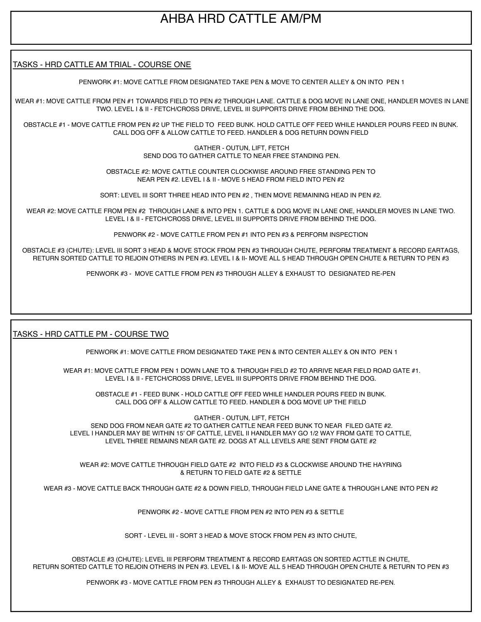## AHBA HRD CATTLE AM/PM

#### I TASKS - HRD CATTLE AM TRIAL - COURSE ONE

PENWORK #1: MOVE CATTLE FROM DESIGNATED TAKE PEN & MOVE TO CENTER ALLEY & ON INTO PEN 1

WEAR #1: MOVE CATTLE FROM PEN #1 TOWARDS FIELD TO PEN #2 THROUGH LANE. CATTLE & DOG MOVE IN LANE ONE, HANDLER MOVES IN LANE TWO. LEVEL I & II - FETCH/CROSS DRIVE, LEVEL III SUPPORTS DRIVE FROM BEHIND THE DOG.

OBSTACLE #1 - MOVE CATTLE FROM PEN #2 UP THE FIELD TO FEED BUNK. HOLD CATTLE OFF FEED WHILE HANDLER POURS FEED IN BUNK. CALL DOG OFF & ALLOW CATTLE TO FEED. HANDLER & DOG RETURN DOWN FIELD

> GATHER - OUTUN, LIFT, FETCH SEND DOG TO GATHER CATTLE TO NEAR FREE STANDING PEN.

OBSTACLE #2: MOVE CATTLE COUNTER CLOCKWISE AROUND FREE STANDING PEN TO NEAR PEN #2. LEVEL I & II - MOVE 5 HEAD FROM FIELD INTO PEN #2

SORT: LEVEL III SORT THREE HEAD INTO PEN #2 , THEN MOVE REMAINING HEAD IN PEN #2.

WEAR #2: MOVE CATTLE FROM PEN #2 THROUGH LANE & INTO PEN 1. CATTLE & DOG MOVE IN LANE ONE, HANDLER MOVES IN LANE TWO. LEVEL I & II - FETCH/CROSS DRIVE, LEVEL III SUPPORTS DRIVE FROM BEHIND THE DOG.

PENWORK #2 - MOVE CATTLE FROM PEN #1 INTO PEN #3 & PERFORM INSPECTION

OBSTACLE #3 (CHUTE): LEVEL III SORT 3 HEAD & MOVE STOCK FROM PEN #3 THROUGH CHUTE, PERFORM TREATMENT & RECORD EARTAGS, RETURN SORTED CATTLE TO REJOIN OTHERS IN PEN #3. LEVEL I & II- MOVE ALL 5 HEAD THROUGH OPEN CHUTE & RETURN TO PEN #3

PENWORK #3 - MOVE CATTLE FROM PEN #3 THROUGH ALLEY & EXHAUST TO DESIGNATED RE-PEN

#### TASKS - HRD CATTLE PM - COURSE TWO

I

PENWORK #1: MOVE CATTLE FROM DESIGNATED TAKE PEN & INTO CENTER ALLEY & ON INTO PEN 1

WEAR #1: MOVE CATTLE FROM PEN 1 DOWN LANE TO & THROUGH FIELD #2 TO ARRIVE NEAR FIELD ROAD GATE #1. LEVEL I & II - FETCH/CROSS DRIVE, LEVEL III SUPPORTS DRIVE FROM BEHIND THE DOG.

OBSTACLE #1 - FEED BUNK - HOLD CATTLE OFF FEED WHILE HANDLER POURS FEED IN BUNK. CALL DOG OFF & ALLOW CATTLE TO FEED. HANDLER & DOG MOVE UP THE FIELD

 GATHER - OUTUN, LIFT, FETCH SEND DOG FROM NEAR GATE #2 TO GATHER CATTLE NEAR FEED BUNK TO NEAR FILED GATE #2. LEVEL I HANDLER MAY BE WITHIN 15' OF CATTLE, LEVEL II HANDLER MAY GO 1/2 WAY FROM GATE TO CATTLE, LEVEL THREE REMAINS NEAR GATE #2. DOGS AT ALL LEVELS ARE SENT FROM GATE #2

WEAR #2: MOVE CATTLE THROUGH FIELD GATE #2 INTO FIELD #3 & CLOCKWISE AROUND THE HAYRING & RETURN TO FIELD GATE #2 & SETTLE

WEAR #3 - MOVE CATTLE BACK THROUGH GATE #2 & DOWN FIELD, THROUGH FIELD LANE GATE & THROUGH LANE INTO PEN #2

PENWORK #2 - MOVE CATTLE FROM PEN #2 INTO PEN #3 & SETTLE

SORT - LEVEL III - SORT 3 HEAD & MOVE STOCK FROM PEN #3 INTO CHUTE,

OBSTACLE #3 (CHUTE): LEVEL III PERFORM TREATMENT & RECORD EARTAGS ON SORTED ACTTLE IN CHUTE, RETURN SORTED CATTLE TO REJOIN OTHERS IN PEN #3. LEVEL I & II- MOVE ALL 5 HEAD THROUGH OPEN CHUTE & RETURN TO PEN #3

PENWORK #3 - MOVE CATTLE FROM PEN #3 THROUGH ALLEY & EXHAUST TO DESIGNATED RE-PEN.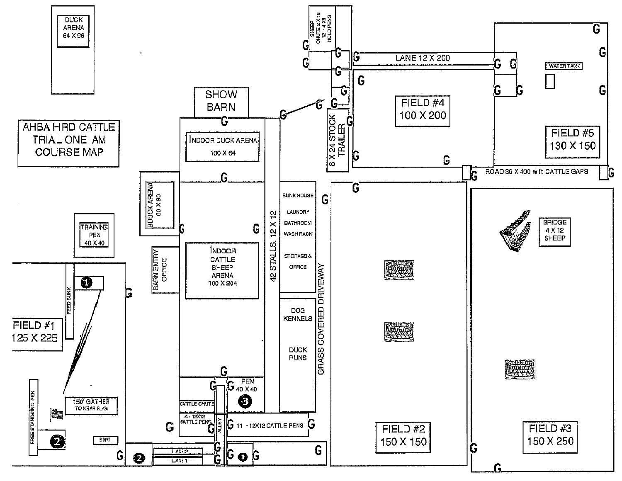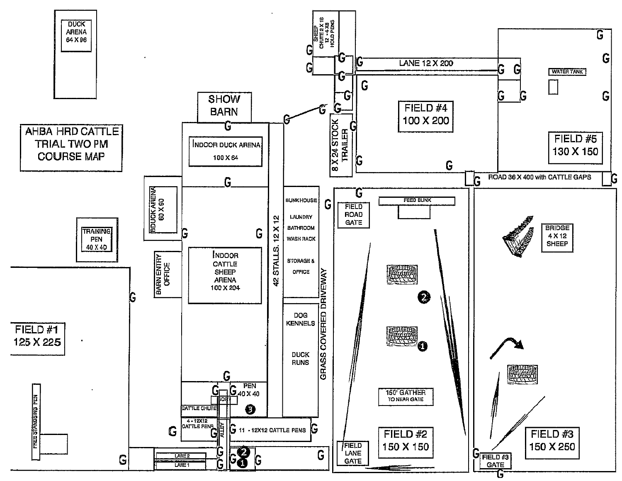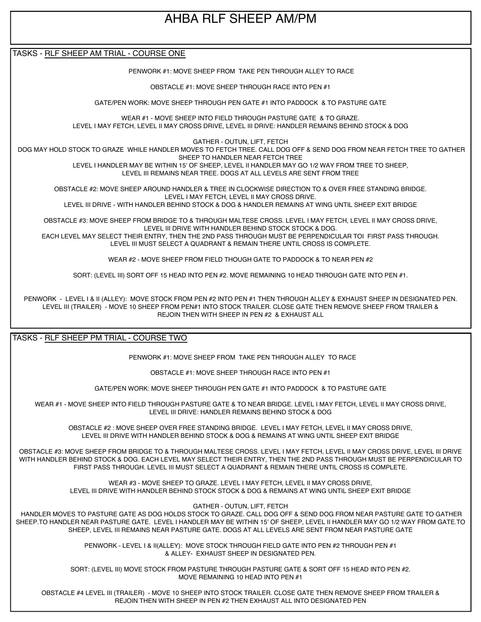# AHBA RLF SHEEP AM/PM

TASKS - RLF SHEEP AM TRIAL - COURSE ONE

PENWORK #1: MOVE SHEEP FROM TAKE PEN THROUGH ALLEY TO RACE

OBSTACLE #1: MOVE SHEEP THROUGH RACE INTO PEN #1

GATE/PEN WORK: MOVE SHEEP THROUGH PEN GATE #1 INTO PADDOCK & TO PASTURE GATE

WEAR #1 - MOVE SHEEP INTO FIELD THROUGH PASTURE GATE & TO GRAZE. LEVEL I MAY FETCH, LEVEL II MAY CROSS DRIVE, LEVEL III DRIVE: HANDLER REMAINS BEHIND STOCK & DOG

GATHER - OUTUN, LIFT, FETCH

 DOG MAY HOLD STOCK TO GRAZE WHILE HANDLER MOVES TO FETCH TREE. CALL DOG OFF & SEND DOG FROM NEAR FETCH TREE TO GATHER SHEEP TO HANDLER NEAR FETCH TREE

LEVEL I HANDLER MAY BE WITHIN 15' OF SHEEP, LEVEL II HANDLER MAY GO 1/2 WAY FROM TREE TO SHEEP, LEVEL III REMAINS NEAR TREE. DOGS AT ALL LEVELS ARE SENT FROM TREE

OBSTACLE #2: MOVE SHEEP AROUND HANDLER & TREE IN CLOCKWISE DIRECTION TO & OVER FREE STANDING BRIDGE. LEVEL I MAY FETCH, LEVEL II MAY CROSS DRIVE.

LEVEL III DRIVE - WITH HANDLER BEHIND STOCK & DOG & HANDLER REMAINS AT WING UNTIL SHEEP EXIT BRIDGE

OBSTACLE #3: MOVE SHEEP FROM BRIDGE TO & THROUGH MALTESE CROSS. LEVEL I MAY FETCH, LEVEL II MAY CROSS DRIVE, LEVEL III DRIVE WITH HANDLER BEHIND STOCK STOCK & DOG. EACH LEVEL MAY SELECT THEIR ENTRY, THEN THE 2ND PASS THROUGH MUST BE PERPENDICULAR TOI FIRST PASS THROUGH. LEVEL III MUST SELECT A QUADRANT & REMAIN THERE UNTIL CROSS IS COMPLETE.

WEAR #2 - MOVE SHEEP FROM FIELD THOUGH GATE TO PADDOCK & TO NEAR PEN #2

SORT: (LEVEL III) SORT OFF 15 HEAD INTO PEN #2. MOVE REMAINING 10 HEAD THROUGH GATE INTO PEN #1.

PENWORK - LEVEL I & II (ALLEY): MOVE STOCK FROM PEN #2 INTO PEN #1 THEN THROUGH ALLEY & EXHAUST SHEEP IN DESIGNATED PEN. LEVEL III (TRAILER) - MOVE 10 SHEEP FROM PEN#1 INTO STOCK TRAILER. CLOSE GATE THEN REMOVE SHEEP FROM TRAILER & REJOIN THEN WITH SHEEP IN PEN #2 & EXHAUST ALL

TASKS - RLF SHEEP PM TRIAL - COURSE TWO

PENWORK #1: MOVE SHEEP FROM TAKE PEN THROUGH ALLEY TO RACE

OBSTACLE #1: MOVE SHEEP THROUGH RACE INTO PEN #1

GATE/PEN WORK: MOVE SHEEP THROUGH PEN GATE #1 INTO PADDOCK & TO PASTURE GATE

WEAR #1 - MOVE SHEEP INTO FIELD THROUGH PASTURE GATE & TO NEAR BRIDGE. LEVEL I MAY FETCH, LEVEL II MAY CROSS DRIVE, LEVEL III DRIVE: HANDLER REMAINS BEHIND STOCK & DOG

OBSTACLE #2 : MOVE SHEEP OVER FREE STANDING BRIDGE. LEVEL I MAY FETCH, LEVEL II MAY CROSS DRIVE, LEVEL III DRIVE WITH HANDLER BEHIND STOCK & DOG & REMAINS AT WING UNTIL SHEEP EXIT BRIDGE

OBSTACLE #3: MOVE SHEEP FROM BRIDGE TO & THROUGH MALTESE CROSS. LEVEL I MAY FETCH, LEVEL II MAY CROSS DRIVE, LEVEL III DRIVE WITH HANDLER BEHIND STOCK & DOG. EACH LEVEL MAY SELECT THEIR ENTRY, THEN THE 2ND PASS THROUGH MUST BE PERPENDICULAR TO FIRST PASS THROUGH. LEVEL III MUST SELECT A QUADRANT & REMAIN THERE UNTIL CROSS IS COMPLETE.

> WEAR #3 - MOVE SHEEP TO GRAZE. LEVEL I MAY FETCH, LEVEL II MAY CROSS DRIVE, LEVEL III DRIVE WITH HANDLER BEHIND STOCK STOCK & DOG & REMAINS AT WING UNTIL SHEEP EXIT BRIDGE

> > GATHER - OUTUN, LIFT, FETCH

 HANDLER MOVES TO PASTURE GATE AS DOG HOLDS STOCK TO GRAZE. CALL DOG OFF & SEND DOG FROM NEAR PASTURE GATE TO GATHER SHEEP.TO HANDLER NEAR PASTURE GATE. LEVEL I HANDLER MAY BE WITHIN 15' OF SHEEP, LEVEL II HANDLER MAY GO 1/2 WAY FROM GATE.TO SHEEP, LEVEL III REMAINS NEAR PASTURE GATE. DOGS AT ALL LEVELS ARE SENT FROM NEAR PASTURE GATE

> PENWORK - LEVEL I & II(ALLEY): MOVE STOCK THROUGH FIELD GATE INTO PEN #2 THROUGH PEN #1 & ALLEY- EXHAUST SHEEP IN DESIGNATED PEN.

SORT: (LEVEL III) MOVE STOCK FROM PASTURE THROUGH PASTURE GATE & SORT OFF 15 HEAD INTO PEN #2. MOVE REMAINING 10 HEAD INTO PEN #1

OBSTACLE #4 LEVEL III (TRAILER) - MOVE 10 SHEEP INTO STOCK TRAILER. CLOSE GATE THEN REMOVE SHEEP FROM TRAILER & REJOIN THEN WITH SHEEP IN PEN #2 THEN EXHAUST ALL INTO DESIGNATED PEN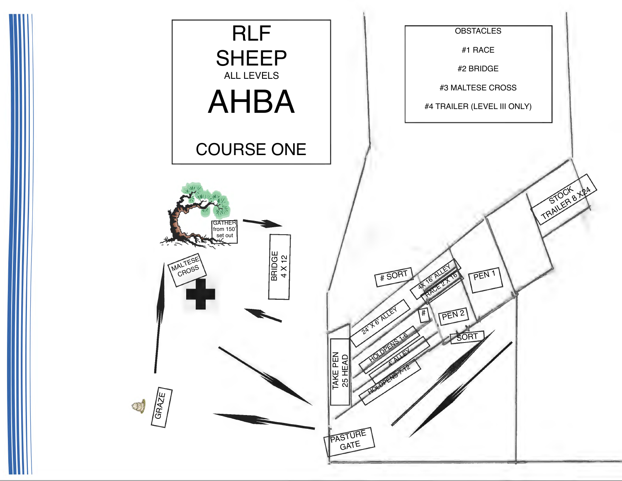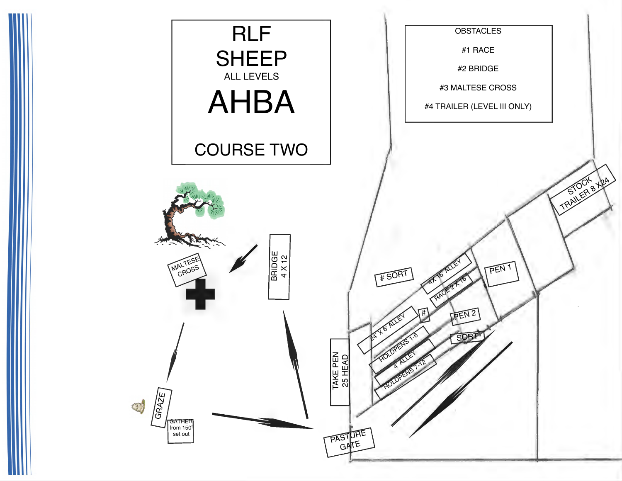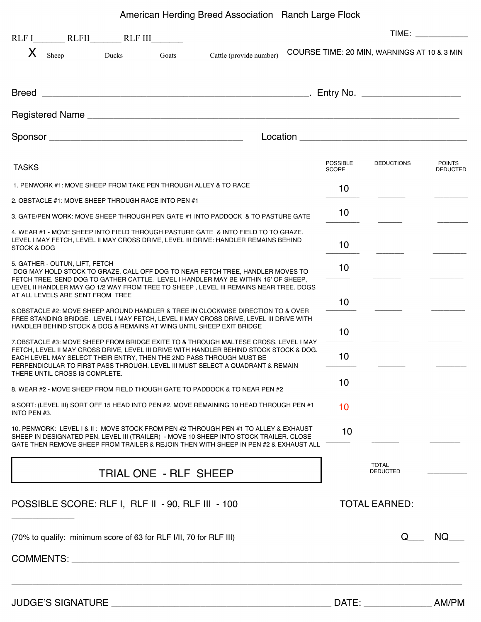### American Herding Breed Association Ranch Large Flock

|                                                                                                                                                                                                                                                                                                                                                                             | TIME: TIME:                     |                                             |                                  |
|-----------------------------------------------------------------------------------------------------------------------------------------------------------------------------------------------------------------------------------------------------------------------------------------------------------------------------------------------------------------------------|---------------------------------|---------------------------------------------|----------------------------------|
| X Sheep Ducks Goats Cattle (provide number)                                                                                                                                                                                                                                                                                                                                 |                                 | COURSE TIME: 20 MIN, WARNINGS AT 10 & 3 MIN |                                  |
|                                                                                                                                                                                                                                                                                                                                                                             |                                 |                                             |                                  |
|                                                                                                                                                                                                                                                                                                                                                                             |                                 |                                             |                                  |
|                                                                                                                                                                                                                                                                                                                                                                             |                                 |                                             |                                  |
| <b>TASKS</b>                                                                                                                                                                                                                                                                                                                                                                | <b>POSSIBLE</b><br><b>SCORE</b> | <b>DEDUCTIONS</b>                           | <b>POINTS</b><br><b>DEDUCTED</b> |
| 1. PENWORK #1: MOVE SHEEP FROM TAKE PEN THROUGH ALLEY & TO RACE                                                                                                                                                                                                                                                                                                             | 10                              |                                             |                                  |
| 2. OBSTACLE #1: MOVE SHEEP THROUGH RACE INTO PEN #1                                                                                                                                                                                                                                                                                                                         |                                 |                                             |                                  |
| 3. GATE/PEN WORK: MOVE SHEEP THROUGH PEN GATE #1 INTO PADDOCK & TO PASTURE GATE                                                                                                                                                                                                                                                                                             | 10                              |                                             |                                  |
| 4. WEAR #1 - MOVE SHEEP INTO FIELD THROUGH PASTURE GATE & INTO FIELD TO TO GRAZE.<br>LEVEL I MAY FETCH, LEVEL II MAY CROSS DRIVE, LEVEL III DRIVE: HANDLER REMAINS BEHIND<br>STOCK & DOG                                                                                                                                                                                    | 10                              |                                             |                                  |
| 5. GATHER - OUTUN, LIFT, FETCH<br>DOG MAY HOLD STOCK TO GRAZE, CALL OFF DOG TO NEAR FETCH TREE, HANDLER MOVES TO<br>FETCH TREE. SEND DOG TO GATHER CATTLE. LEVEL I HANDLER MAY BE WITHIN 15' OF SHEEP,                                                                                                                                                                      | 10                              |                                             |                                  |
| LEVEL II HANDLER MAY GO 1/2 WAY FROM TREE TO SHEEP, LEVEL III REMAINS NEAR TREE. DOGS<br>AT ALL LEVELS ARE SENT FROM TREE                                                                                                                                                                                                                                                   | 10                              |                                             |                                  |
| 6.OBSTACLE #2: MOVE SHEEP AROUND HANDLER & TREE IN CLOCKWISE DIRECTION TO & OVER<br>FREE STANDING BRIDGE. LEVEL I MAY FETCH, LEVEL II MAY CROSS DRIVE, LEVEL III DRIVE WITH<br>HANDLER BEHIND STOCK & DOG & REMAINS AT WING UNTIL SHEEP EXIT BRIDGE                                                                                                                         | 10 <sup>1</sup>                 |                                             |                                  |
| 7. OBSTACLE #3: MOVE SHEEP FROM BRIDGE EXITE TO & THROUGH MALTESE CROSS. LEVEL I MAY<br>FETCH, LEVEL II MAY CROSS DRIVE, LEVEL III DRIVE WITH HANDLER BEHIND STOCK STOCK & DOG.<br>EACH LEVEL MAY SELECT THEIR ENTRY, THEN THE 2ND PASS THROUGH MUST BE<br>PERPENDICULAR TO FIRST PASS THROUGH. LEVEL III MUST SELECT A QUADRANT & REMAIN<br>THERE UNTIL CROSS IS COMPLETE. | 10                              |                                             |                                  |
| 8. WEAR #2 - MOVE SHEEP FROM FIELD THOUGH GATE TO PADDOCK & TO NEAR PEN #2                                                                                                                                                                                                                                                                                                  | 10                              |                                             |                                  |
| 9. SORT: (LEVEL III) SORT OFF 15 HEAD INTO PEN #2. MOVE REMAINING 10 HEAD THROUGH PEN #1<br>INTO PEN #3.                                                                                                                                                                                                                                                                    | 10                              |                                             |                                  |
| 10. PENWORK: LEVEL 1 & II: MOVE STOCK FROM PEN #2 THROUGH PEN #1 TO ALLEY & EXHAUST<br>SHEEP IN DESIGNATED PEN. LEVEL III (TRAILER) - MOVE 10 SHEEP INTO STOCK TRAILER. CLOSE<br>GATE THEN REMOVE SHEEP FROM TRAILER & REJOIN THEN WITH SHEEP IN PEN #2 & EXHAUST ALL                                                                                                       | 10                              |                                             |                                  |
| TRIAL ONE - RLF SHEEP                                                                                                                                                                                                                                                                                                                                                       |                                 | <b>TOTAL</b><br><b>DEDUCTED</b>             |                                  |
| POSSIBLE SCORE: RLF I, RLF II - 90, RLF III - 100                                                                                                                                                                                                                                                                                                                           |                                 | <b>TOTAL EARNED:</b>                        |                                  |
| (70% to qualify: minimum score of 63 for RLF I/II, 70 for RLF III)                                                                                                                                                                                                                                                                                                          |                                 |                                             | NQ.                              |
| COMMENTS: COMMENTS:                                                                                                                                                                                                                                                                                                                                                         |                                 |                                             |                                  |
|                                                                                                                                                                                                                                                                                                                                                                             |                                 | DATE: AM/PM                                 |                                  |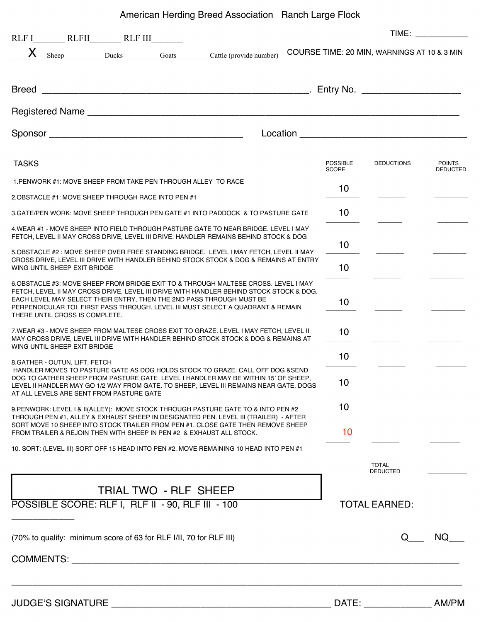American Herding Breed Association Ranch Large Flock

|                                                                                                                                                                                                                                                                                                                                                                            |                                 |                                                                                                                                                                                                                                      | TIME: TIME:                      |
|----------------------------------------------------------------------------------------------------------------------------------------------------------------------------------------------------------------------------------------------------------------------------------------------------------------------------------------------------------------------------|---------------------------------|--------------------------------------------------------------------------------------------------------------------------------------------------------------------------------------------------------------------------------------|----------------------------------|
| X Sheep Ducks Goats Cattle (provide number)                                                                                                                                                                                                                                                                                                                                |                                 | COURSE TIME: 20 MIN, WARNINGS AT 10 & 3 MIN                                                                                                                                                                                          |                                  |
|                                                                                                                                                                                                                                                                                                                                                                            |                                 |                                                                                                                                                                                                                                      |                                  |
|                                                                                                                                                                                                                                                                                                                                                                            |                                 |                                                                                                                                                                                                                                      |                                  |
|                                                                                                                                                                                                                                                                                                                                                                            |                                 | Location <b>Exercise Service Service Service Service Service Service Service Service Service Service Service Service Service Service Service Service Service Service Service Service Service Service Service Service Service Ser</b> |                                  |
| <b>TASKS</b>                                                                                                                                                                                                                                                                                                                                                               | <b>POSSIBLE</b><br><b>SCORE</b> | <b>DEDUCTIONS</b>                                                                                                                                                                                                                    | <b>POINTS</b><br><b>DEDUCTED</b> |
| 1. PENWORK #1: MOVE SHEEP FROM TAKE PEN THROUGH ALLEY TO RACE                                                                                                                                                                                                                                                                                                              |                                 |                                                                                                                                                                                                                                      |                                  |
| 2.OBSTACLE #1: MOVE SHEEP THROUGH RACE INTO PEN #1                                                                                                                                                                                                                                                                                                                         | 10                              |                                                                                                                                                                                                                                      |                                  |
| 3. GATE/PEN WORK: MOVE SHEEP THROUGH PEN GATE #1 INTO PADDOCK & TO PASTURE GATE                                                                                                                                                                                                                                                                                            | 10                              |                                                                                                                                                                                                                                      |                                  |
| 4.WEAR #1 - MOVE SHEEP INTO FIELD THROUGH PASTURE GATE TO NEAR BRIDGE. LEVEL I MAY<br>FETCH, LEVEL II MAY CROSS DRIVE, LEVEL III DRIVE: HANDLER REMAINS BEHIND STOCK & DOG                                                                                                                                                                                                 |                                 |                                                                                                                                                                                                                                      |                                  |
| 5. OBSTACLE #2: MOVE SHEEP OVER FREE STANDING BRIDGE. LEVEL I MAY FETCH, LEVEL II MAY<br>CROSS DRIVE, LEVEL III DRIVE WITH HANDLER BEHIND STOCK STOCK & DOG & REMAINS AT ENTRY<br>WING UNTIL SHEEP EXIT BRIDGE                                                                                                                                                             | 10<br>10                        |                                                                                                                                                                                                                                      |                                  |
| 6.OBSTACLE #3: MOVE SHEEP FROM BRIDGE EXIT TO & THROUGH MALTESE CROSS. LEVEL I MAY<br>FETCH, LEVEL II MAY CROSS DRIVE, LEVEL III DRIVE WITH HANDLER BEHIND STOCK STOCK & DOG.<br>EACH LEVEL MAY SELECT THEIR ENTRY, THEN THE 2ND PASS THROUGH MUST BE<br>PERPENDICULAR TOI FIRST PASS THROUGH. LEVEL III MUST SELECT A QUADRANT & REMAIN<br>THERE UNTIL CROSS IS COMPLETE. | 10                              |                                                                                                                                                                                                                                      |                                  |
| 7. WEAR #3 - MOVE SHEEP FROM MALTESE CROSS EXIT TO GRAZE. LEVEL I MAY FETCH, LEVEL II<br>MAY CROSS DRIVE. LEVEL III DRIVE WITH HANDLER BEHIND STOCK STOCK & DOG & REMAINS AT<br>WING UNTIL SHEEP EXIT BRIDGE                                                                                                                                                               | 10 <sup>1</sup>                 |                                                                                                                                                                                                                                      |                                  |
|                                                                                                                                                                                                                                                                                                                                                                            | 10                              |                                                                                                                                                                                                                                      |                                  |
| 8. GATHER - OUTUN, LIFT, FETCH<br>HANDLER MOVES TO PASTURE GATE AS DOG HOLDS STOCK TO GRAZE, CALL OFF DOG & SEND<br>DOG TO GATHER SHEEP FROM PASTURE GATE LEVEL I HANDLER MAY BE WITHIN 15' OF SHEEP,<br>LEVEL II HANDLER MAY GO 1/2 WAY FROM GATE. TO SHEEP, LEVEL III REMAINS NEAR GATE. DOGS<br>AT ALL LEVELS ARE SENT FROM PASTURE GATE                                | 10                              |                                                                                                                                                                                                                                      |                                  |
| 9. PENWORK: LEVEL I & II(ALLEY): MOVE STOCK THROUGH PASTURE GATE TO & INTO PEN #2<br>THROUGH PEN #1, ALLEY & EXHAUST SHEEP IN DESIGNATED PEN. LEVEL III (TRAILER) - AFTER                                                                                                                                                                                                  | 10                              |                                                                                                                                                                                                                                      |                                  |
| SORT MOVE 10 SHEEP INTO STOCK TRAILER FROM PEN #1. CLOSE GATE THEN REMOVE SHEEP<br>FROM TRAILER & REJOIN THEN WITH SHEEP IN PEN #2 & EXHAUST ALL STOCK.                                                                                                                                                                                                                    | 10                              |                                                                                                                                                                                                                                      |                                  |
| 10. SORT: (LEVEL III) SORT OFF 15 HEAD INTO PEN #2. MOVE REMAINING 10 HEAD INTO PEN #1                                                                                                                                                                                                                                                                                     |                                 | <b>TOTAL</b>                                                                                                                                                                                                                         |                                  |
| TRIAL TWO - RLF SHEEP                                                                                                                                                                                                                                                                                                                                                      |                                 | <b>DEDUCTED</b>                                                                                                                                                                                                                      |                                  |
| POSSIBLE SCORE: RLF I, RLF II - 90, RLF III - 100                                                                                                                                                                                                                                                                                                                          |                                 | <b>TOTAL EARNED:</b>                                                                                                                                                                                                                 |                                  |
| (70% to qualify: minimum score of 63 for RLF I/II, 70 for RLF III)                                                                                                                                                                                                                                                                                                         |                                 | O.                                                                                                                                                                                                                                   | NQ.                              |
|                                                                                                                                                                                                                                                                                                                                                                            |                                 |                                                                                                                                                                                                                                      |                                  |
|                                                                                                                                                                                                                                                                                                                                                                            |                                 |                                                                                                                                                                                                                                      |                                  |
| <b>JUDGE'S SIGNATURE</b><br><u> 2000 - 2000 - 2000 - 2000 - 2000 - 2000 - 2000 - 2000 - 2000 - 2000 - 2000 - 2000 - 2000 - 2000 - 2000 - 200</u>                                                                                                                                                                                                                           | DATE:                           |                                                                                                                                                                                                                                      | AM/PM                            |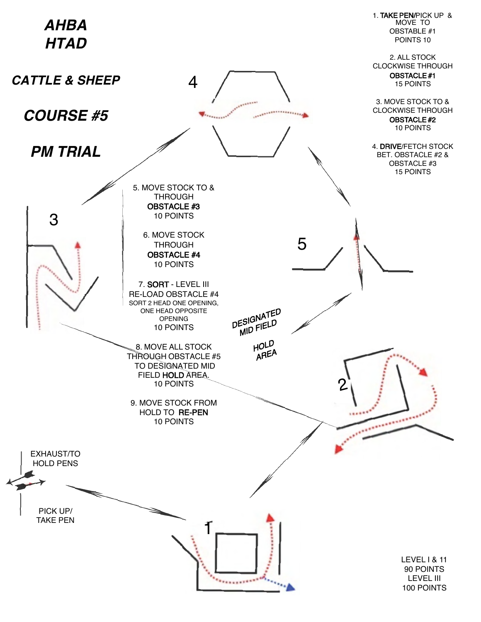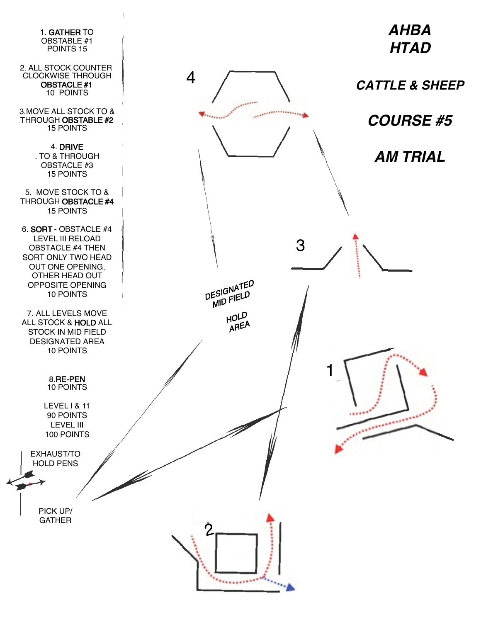